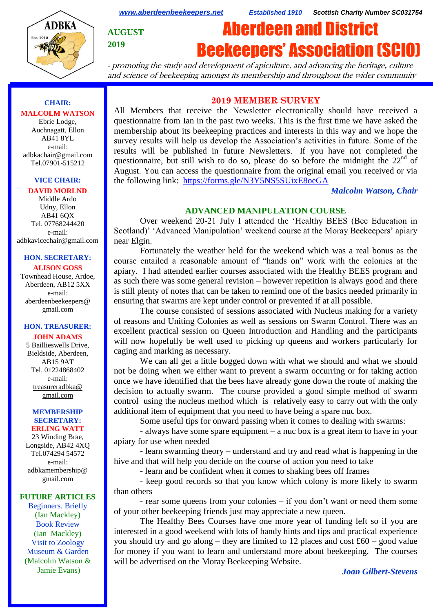

*[www.aberdeenbeekeepers.net](http://www.aberdeenbeekeepers.net/) Established 1910 Scottish Charity Number SC031754*

**AUGUST**

**2019**

# Aberdeen and District Beekeepers' Association (SCIO)

- promoting the study and development of apiculture, and advancing the heritage, culture and science of beekeeping amongst its membership and throughout the wider community

# **CHAIR: MALCOLM WATSON**

Ebrie Lodge, Auchnagatt, Ellon AB41 8YL e-mail: adbkachair@gmail.com Tel.07901-515212

## **VICE CHAIR:**

#### **DAVID MORLND**

Middle Ardo Udny, Ellon AB41 6QX Tel. 07768244420 e-mail: adbkavicechair@gmail.com

#### **HON. SECRETARY: ALISON GOSS**

Townhead House, Ardoe, Aberdeen, AB12 5XX e-mail: aberdeenbeekeepers@ gmail.com

## **HON. TREASURER:**

## **JOHN ADAMS**

5 Baillieswells Drive, Bieldside, Aberdeen, AB15 9AT Tel. 01224868402 e-mail: [treasureradbka@](https://e.mail.ru/compose/?mailto=mailto%3atreasureradbka@gmail.com)  [gmail.com](https://e.mail.ru/compose/?mailto=mailto%3atreasureradbka@gmail.com)

#### **MEMBERSHIP SECRETARY: ERLING WATT**

23 Winding Brae, Longside, AB42 4XQ Tel.074294 54572 e-mail: [adbkamembership@](mailto:watterlingg@aol.com) [gmail.com](mailto:watterlingg@aol.com)

#### **FUTURE ARTICLES**

Beginners. Briefly (Ian Mackley) Book Review (Ian Mackley) Visit to Zoology Museum & Garden (Malcolm Watson & Jamie Evans)

# **2019 MEMBER SURVEY**

All Members that receive the Newsletter electronically should have received a questionnaire from Ian in the past two weeks. This is the first time we have asked the membership about its beekeeping practices and interests in this way and we hope the survey results will help us develop the Association's activities in future. Some of the results will be published in future Newsletters. If you have not completed the questionnaire, but still wish to do so, please do so before the midnight the  $22<sup>nd</sup>$  of August. You can access the questionnaire from the original email you received or via the following link: <https://forms.gle/N3Y5NS5SUixE8oeGA>

#### *Malcolm Watson, Chair*

## **ADVANCED MANIPULATION COURSE**

Over weekend 20-21 July I attended the 'Healthy BEES (Bee Education in Scotland)' 'Advanced Manipulation' weekend course at the Moray Beekeepers' apiary near Elgin.

Fortunately the weather held for the weekend which was a real bonus as the course entailed a reasonable amount of "hands on" work with the colonies at the apiary. I had attended earlier courses associated with the Healthy BEES program and as such there was some general revision – however repetition is always good and there is still plenty of notes that can be taken to remind one of the basics needed primarily in ensuring that swarms are kept under control or prevented if at all possible.

The course consisted of sessions associated with Nucleus making for a variety of reasons and Uniting Colonies as well as sessions on Swarm Control. There was an excellent practical session on Queen Introduction and Handling and the participants will now hopefully be well used to picking up queens and workers particularly for caging and marking as necessary.

We can all get a little bogged down with what we should and what we should not be doing when we either want to prevent a swarm occurring or for taking action once we have identified that the bees have already gone down the route of making the decision to actually swarm. The course provided a good simple method of swarm control using the nucleus method which is relatively easy to carry out with the only additional item of equipment that you need to have being a spare nuc box.

Some useful tips for onward passing when it comes to dealing with swarms:

- always have some spare equipment – a nuc box is a great item to have in your apiary for use when needed

- learn swarming theory – understand and try and read what is happening in the hive and that will help you decide on the course of action you need to take

- learn and be confident when it comes to shaking bees off frames

- keep good records so that you know which colony is more likely to swarm than others

- rear some queens from your colonies – if you don't want or need them some of your other beekeeping friends just may appreciate a new queen.

The Healthy Bees Courses have one more year of funding left so if you are interested in a good weekend with lots of handy hints and tips and practical experience you should try and go along – they are limited to 12 places and cost  $£60 - good$  value for money if you want to learn and understand more about beekeeping. The courses will be advertised on the Moray Beekeeping Website.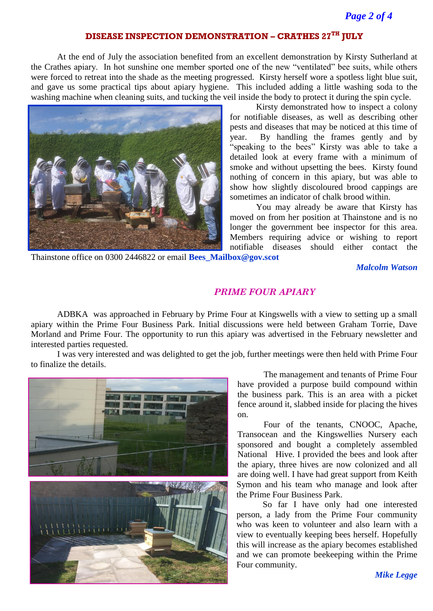# **DISEASE INSPECTION DEMONSTRATION – CRATHES 27TH JULY**

At the end of July the association benefited from an excellent demonstration by Kirsty Sutherland at the Crathes apiary. In hot sunshine one member sported one of the new "ventilated" bee suits, while others were forced to retreat into the shade as the meeting progressed. Kirsty herself wore a spotless light blue suit, and gave us some practical tips about apiary hygiene. This included adding a little washing soda to the washing machine when cleaning suits, and tucking the veil inside the body to protect it during the spin cycle.



Kirsty demonstrated how to inspect a colony for notifiable diseases, as well as describing other pests and diseases that may be noticed at this time of year. By handling the frames gently and by "speaking to the bees" Kirsty was able to take a detailed look at every frame with a minimum of smoke and without upsetting the bees. Kirsty found nothing of concern in this apiary, but was able to show how slightly discoloured brood cappings are sometimes an indicator of chalk brood within.

You may already be aware that Kirsty has moved on from her position at Thainstone and is no longer the government bee inspector for this area. Members requiring advice or wishing to report notifiable diseases should either contact the

Thainstone office on 0300 2446822 or email **[Bees\\_Mailbox@gov.scot](mailto:Bees_Mailbox@gov.scot)**

*Malcolm Watson*

## *PRIME FOUR APIARY*

ADBKA was approached in February by Prime Four at Kingswells with a view to setting up a small apiary within the Prime Four Business Park. Initial discussions were held between Graham Torrie, Dave Morland and Prime Four. The opportunity to run this apiary was advertised in the February newsletter and interested parties requested.

I was very interested and was delighted to get the job, further meetings were then held with Prime Four to finalize the details.



The management and tenants of Prime Four have provided a purpose build compound within the business park. This is an area with a picket fence around it, slabbed inside for placing the hives on.

Four of the tenants, CNOOC, Apache, Transocean and the Kingswellies Nursery each sponsored and bought a completely assembled National Hive. I provided the bees and look after the apiary, three hives are now colonized and all are doing well. I have had great support from Keith Symon and his team who manage and look after the Prime Four Business Park.

So far I have only had one interested person, a lady from the Prime Four community who was keen to volunteer and also learn with a view to eventually keeping bees herself. Hopefully this will increase as the apiary becomes established and we can promote beekeeping within the Prime Four community.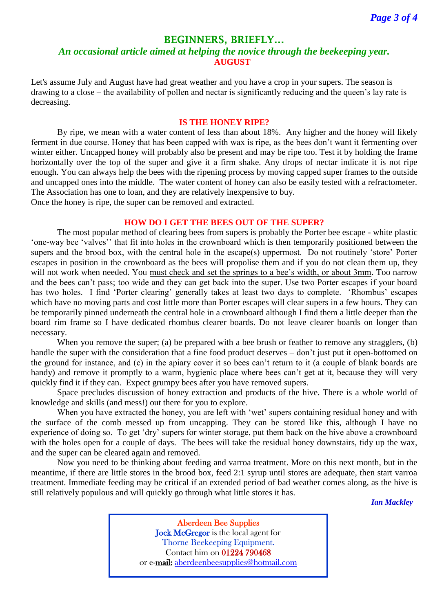## **BEGINNERS, BRIEFLY…**

# *An occasional article aimed at helping the novice through the beekeeping year.* **AUGUST**

Let's assume July and August have had great weather and you have a crop in your supers. The season is drawing to a close – the availability of pollen and nectar is significantly reducing and the queen's lay rate is decreasing.

#### **IS THE HONEY RIPE?**

By ripe, we mean with a water content of less than about 18%. Any higher and the honey will likely ferment in due course. Honey that has been capped with wax is ripe, as the bees don't want it fermenting over winter either. Uncapped honey will probably also be present and may be ripe too. Test it by holding the frame horizontally over the top of the super and give it a firm shake. Any drops of nectar indicate it is not ripe enough. You can always help the bees with the ripening process by moving capped super frames to the outside and uncapped ones into the middle. The water content of honey can also be easily tested with a refractometer. The Association has one to loan, and they are relatively inexpensive to buy. Once the honey is ripe, the super can be removed and extracted.

#### **HOW DO I GET THE BEES OUT OF THE SUPER?**

The most popular method of clearing bees from supers is probably the Porter bee escape - white plastic 'one-way bee 'valves'' that fit into holes in the crownboard which is then temporarily positioned between the supers and the brood box, with the central hole in the escape(s) uppermost. Do not routinely 'store' Porter escapes in position in the crownboard as the bees will propolise them and if you do not clean them up, they will not work when needed. You must check and set the springs to a bee's width, or about 3mm. Too narrow and the bees can't pass; too wide and they can get back into the super. Use two Porter escapes if your board has two holes. I find 'Porter clearing' generally takes at least two days to complete. 'Rhombus' escapes which have no moving parts and cost little more than Porter escapes will clear supers in a few hours. They can be temporarily pinned underneath the central hole in a crownboard although I find them a little deeper than the board rim frame so I have dedicated rhombus clearer boards. Do not leave clearer boards on longer than necessary.

When you remove the super; (a) be prepared with a bee brush or feather to remove any stragglers, (b) handle the super with the consideration that a fine food product deserves – don't just put it open-bottomed on the ground for instance, and (c) in the apiary cover it so bees can't return to it (a couple of blank boards are handy) and remove it promptly to a warm, hygienic place where bees can't get at it, because they will very quickly find it if they can. Expect grumpy bees after you have removed supers.

Space precludes discussion of honey extraction and products of the hive. There is a whole world of knowledge and skills (and mess!) out there for you to explore.

When you have extracted the honey, you are left with 'wet' supers containing residual honey and with the surface of the comb messed up from uncapping. They can be stored like this, although I have no experience of doing so. To get 'dry' supers for winter storage, put them back on the hive above a crownboard with the holes open for a couple of days. The bees will take the residual honey downstairs, tidy up the wax, and the super can be cleared again and removed.

Now you need to be thinking about feeding and varroa treatment. More on this next month, but in the meantime, if there are little stores in the brood box, feed 2:1 syrup until stores are adequate, then start varroa treatment. Immediate feeding may be critical if an extended period of bad weather comes along, as the hive is still relatively populous and will quickly go through what little stores it has.

*Ian Mackley*

Aberdeen Bee Supplies Jock McGregor is the local agent for Thorne Beekeeping Equipment. Contact him on 01224 790468 or e-mail: [aberdeenbeesupplies@hotmail.com](mailto:aberdeenbeesupplies@hotmail.com)